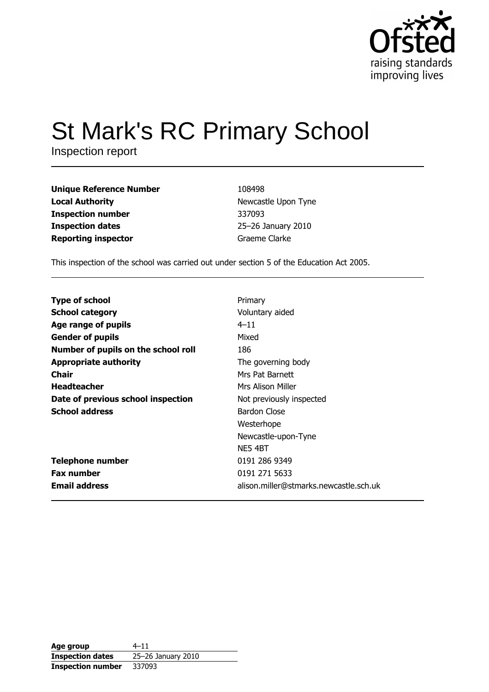

# **St Mark's RC Primary School**

Inspection report

| <b>Unique Reference Number</b> |  |
|--------------------------------|--|
| <b>Local Authority</b>         |  |
| <b>Inspection number</b>       |  |
| <b>Inspection dates</b>        |  |
| <b>Reporting inspector</b>     |  |

108498 Newcastle Upon Tyne 337093 25-26 January 2010 Graeme Clarke

This inspection of the school was carried out under section 5 of the Education Act 2005.

| <b>Type of school</b>               | Primary                                |
|-------------------------------------|----------------------------------------|
| <b>School category</b>              | Voluntary aided                        |
| Age range of pupils                 | $4 - 11$                               |
| <b>Gender of pupils</b>             | Mixed                                  |
| Number of pupils on the school roll | 186                                    |
| <b>Appropriate authority</b>        | The governing body                     |
| Chair                               | Mrs Pat Barnett                        |
| <b>Headteacher</b>                  | Mrs Alison Miller                      |
| Date of previous school inspection  | Not previously inspected               |
| <b>School address</b>               | Bardon Close                           |
|                                     | Westerhope                             |
|                                     | Newcastle-upon-Tyne                    |
|                                     | NE54BT                                 |
| <b>Telephone number</b>             | 0191 286 9349                          |
| <b>Fax number</b>                   | 0191 271 5633                          |
| <b>Email address</b>                | alison.miller@stmarks.newcastle.sch.uk |

| Age group                | $4 - 11$           |
|--------------------------|--------------------|
| <b>Inspection dates</b>  | 25-26 January 2010 |
| <b>Inspection number</b> | 337093             |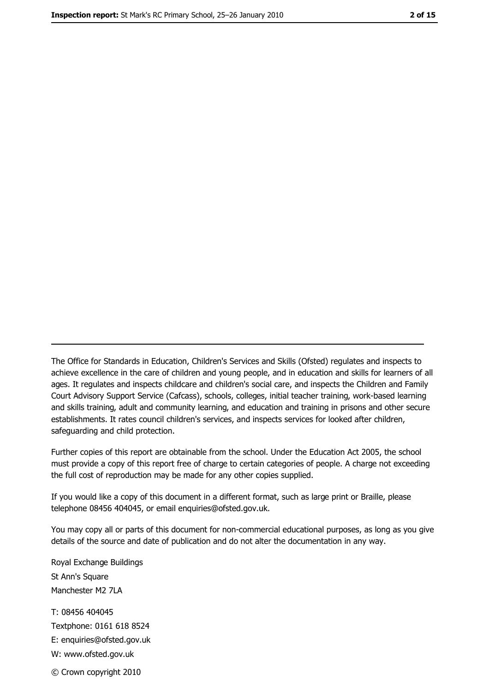The Office for Standards in Education, Children's Services and Skills (Ofsted) regulates and inspects to achieve excellence in the care of children and young people, and in education and skills for learners of all ages. It regulates and inspects childcare and children's social care, and inspects the Children and Family Court Advisory Support Service (Cafcass), schools, colleges, initial teacher training, work-based learning and skills training, adult and community learning, and education and training in prisons and other secure establishments. It rates council children's services, and inspects services for looked after children, safequarding and child protection.

Further copies of this report are obtainable from the school. Under the Education Act 2005, the school must provide a copy of this report free of charge to certain categories of people. A charge not exceeding the full cost of reproduction may be made for any other copies supplied.

If you would like a copy of this document in a different format, such as large print or Braille, please telephone 08456 404045, or email enquiries@ofsted.gov.uk.

You may copy all or parts of this document for non-commercial educational purposes, as long as you give details of the source and date of publication and do not alter the documentation in any way.

Royal Exchange Buildings St Ann's Square Manchester M2 7LA T: 08456 404045 Textphone: 0161 618 8524 E: enquiries@ofsted.gov.uk W: www.ofsted.gov.uk © Crown copyright 2010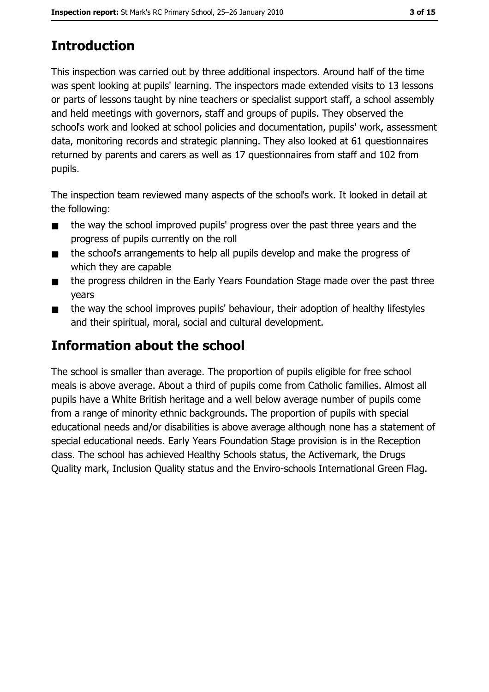# **Introduction**

This inspection was carried out by three additional inspectors. Around half of the time was spent looking at pupils' learning. The inspectors made extended visits to 13 lessons or parts of lessons taught by nine teachers or specialist support staff, a school assembly and held meetings with governors, staff and groups of pupils. They observed the school's work and looked at school policies and documentation, pupils' work, assessment data, monitoring records and strategic planning. They also looked at 61 questionnaires returned by parents and carers as well as 17 questionnaires from staff and 102 from pupils.

The inspection team reviewed many aspects of the school's work. It looked in detail at the following:

- the way the school improved pupils' progress over the past three years and the  $\blacksquare$ progress of pupils currently on the roll
- the school's arrangements to help all pupils develop and make the progress of  $\blacksquare$ which they are capable
- the progress children in the Early Years Foundation Stage made over the past three  $\blacksquare$ vears
- the way the school improves pupils' behaviour, their adoption of healthy lifestyles  $\blacksquare$ and their spiritual, moral, social and cultural development.

# Information about the school

The school is smaller than average. The proportion of pupils eligible for free school meals is above average. About a third of pupils come from Catholic families. Almost all pupils have a White British heritage and a well below average number of pupils come from a range of minority ethnic backgrounds. The proportion of pupils with special educational needs and/or disabilities is above average although none has a statement of special educational needs. Early Years Foundation Stage provision is in the Reception class. The school has achieved Healthy Schools status, the Activemark, the Drugs Quality mark, Inclusion Quality status and the Enviro-schools International Green Flag.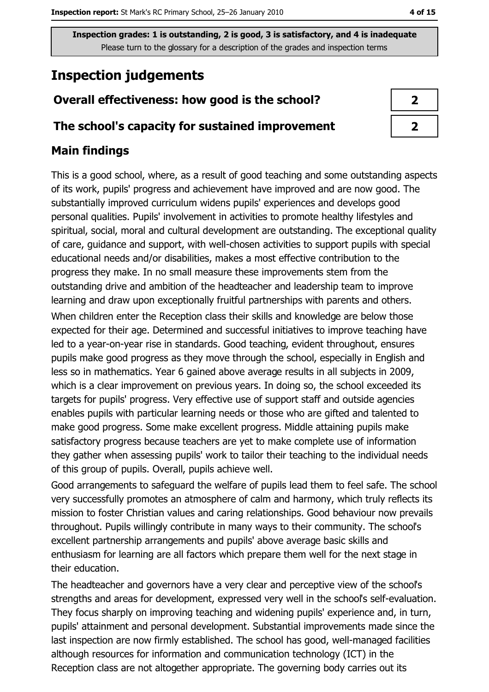# **Inspection judgements**

# Overall effectiveness: how good is the school?

### The school's capacity for sustained improvement

### **Main findings**

This is a good school, where, as a result of good teaching and some outstanding aspects of its work, pupils' progress and achievement have improved and are now good. The substantially improved curriculum widens pupils' experiences and develops good personal qualities. Pupils' involvement in activities to promote healthy lifestyles and spiritual, social, moral and cultural development are outstanding. The exceptional quality of care, guidance and support, with well-chosen activities to support pupils with special educational needs and/or disabilities, makes a most effective contribution to the progress they make. In no small measure these improvements stem from the outstanding drive and ambition of the headteacher and leadership team to improve learning and draw upon exceptionally fruitful partnerships with parents and others. When children enter the Reception class their skills and knowledge are below those expected for their age. Determined and successful initiatives to improve teaching have led to a year-on-year rise in standards. Good teaching, evident throughout, ensures pupils make good progress as they move through the school, especially in English and less so in mathematics. Year 6 gained above average results in all subjects in 2009, which is a clear improvement on previous years. In doing so, the school exceeded its targets for pupils' progress. Very effective use of support staff and outside agencies enables pupils with particular learning needs or those who are gifted and talented to make good progress. Some make excellent progress. Middle attaining pupils make satisfactory progress because teachers are yet to make complete use of information they gather when assessing pupils' work to tailor their teaching to the individual needs of this group of pupils. Overall, pupils achieve well.

Good arrangements to safeguard the welfare of pupils lead them to feel safe. The school very successfully promotes an atmosphere of calm and harmony, which truly reflects its mission to foster Christian values and caring relationships. Good behaviour now prevails throughout. Pupils willingly contribute in many ways to their community. The school's excellent partnership arrangements and pupils' above average basic skills and enthusiasm for learning are all factors which prepare them well for the next stage in their education.

The headteacher and governors have a very clear and perceptive view of the school's strengths and areas for development, expressed very well in the school's self-evaluation. They focus sharply on improving teaching and widening pupils' experience and, in turn, pupils' attainment and personal development. Substantial improvements made since the last inspection are now firmly established. The school has good, well-managed facilities although resources for information and communication technology (ICT) in the Reception class are not altogether appropriate. The governing body carries out its

| 2 |  |
|---|--|
| 2 |  |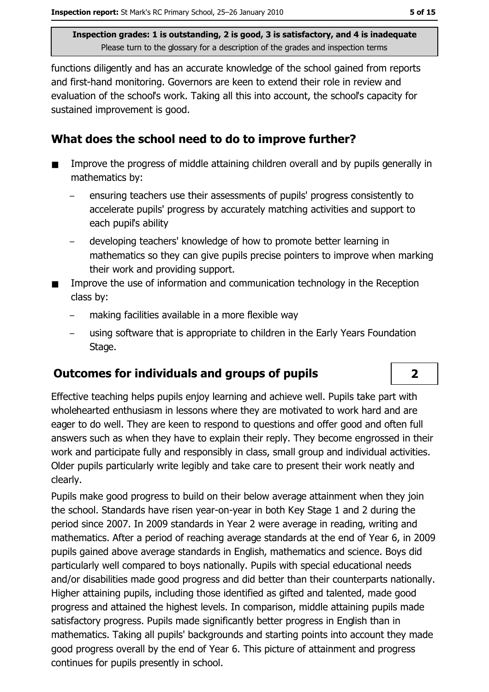functions diligently and has an accurate knowledge of the school gained from reports and first-hand monitoring. Governors are keen to extend their role in review and evaluation of the school's work. Taking all this into account, the school's capacity for sustained improvement is good.

### What does the school need to do to improve further?

- Improve the progress of middle attaining children overall and by pupils generally in  $\blacksquare$ mathematics by:
	- ensuring teachers use their assessments of pupils' progress consistently to accelerate pupils' progress by accurately matching activities and support to each pupil's ability
	- developing teachers' knowledge of how to promote better learning in mathematics so they can give pupils precise pointers to improve when marking their work and providing support.
- Improve the use of information and communication technology in the Reception class by:
	- making facilities available in a more flexible way
	- using software that is appropriate to children in the Early Years Foundation Stage.

### **Outcomes for individuals and groups of pupils**

Effective teaching helps pupils enjoy learning and achieve well. Pupils take part with wholehearted enthusiasm in lessons where they are motivated to work hard and are eager to do well. They are keen to respond to questions and offer good and often full answers such as when they have to explain their reply. They become engrossed in their work and participate fully and responsibly in class, small group and individual activities. Older pupils particularly write legibly and take care to present their work neatly and clearly.

Pupils make good progress to build on their below average attainment when they join the school. Standards have risen year-on-year in both Key Stage 1 and 2 during the period since 2007. In 2009 standards in Year 2 were average in reading, writing and mathematics. After a period of reaching average standards at the end of Year 6, in 2009 pupils gained above average standards in English, mathematics and science. Boys did particularly well compared to boys nationally. Pupils with special educational needs and/or disabilities made good progress and did better than their counterparts nationally. Higher attaining pupils, including those identified as gifted and talented, made good progress and attained the highest levels. In comparison, middle attaining pupils made satisfactory progress. Pupils made significantly better progress in English than in mathematics. Taking all pupils' backgrounds and starting points into account they made good progress overall by the end of Year 6. This picture of attainment and progress continues for pupils presently in school.

 $\overline{2}$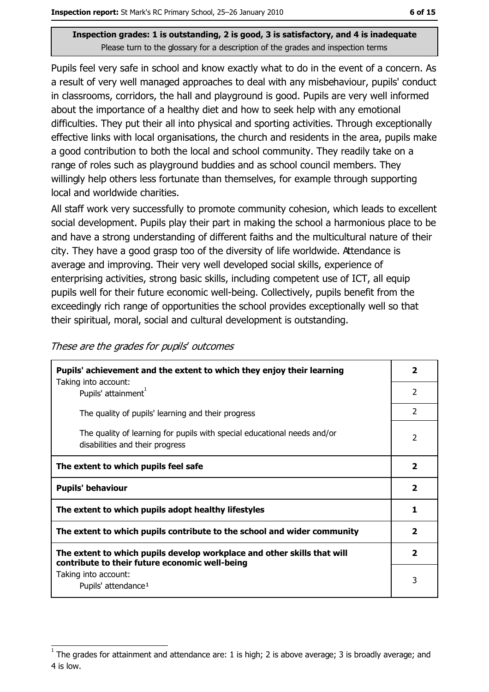Pupils feel very safe in school and know exactly what to do in the event of a concern. As a result of very well managed approaches to deal with any misbehaviour, pupils' conduct in classrooms, corridors, the hall and playground is good. Pupils are very well informed about the importance of a healthy diet and how to seek help with any emotional difficulties. They put their all into physical and sporting activities. Through exceptionally effective links with local organisations, the church and residents in the area, pupils make a good contribution to both the local and school community. They readily take on a range of roles such as playground buddies and as school council members. They willingly help others less fortunate than themselves, for example through supporting local and worldwide charities.

All staff work very successfully to promote community cohesion, which leads to excellent social development. Pupils play their part in making the school a harmonious place to be and have a strong understanding of different faiths and the multicultural nature of their city. They have a good grasp too of the diversity of life worldwide. Attendance is average and improving. Their very well developed social skills, experience of enterprising activities, strong basic skills, including competent use of ICT, all equip pupils well for their future economic well-being. Collectively, pupils benefit from the exceedingly rich range of opportunities the school provides exceptionally well so that their spiritual, moral, social and cultural development is outstanding.

| These are the grades for pupils' outcomes |  |  |  |
|-------------------------------------------|--|--|--|
|-------------------------------------------|--|--|--|

| Pupils' achievement and the extent to which they enjoy their learning                                                     |                |  |
|---------------------------------------------------------------------------------------------------------------------------|----------------|--|
| Taking into account:<br>Pupils' attainment <sup>1</sup>                                                                   | $\overline{2}$ |  |
| The quality of pupils' learning and their progress                                                                        | $\overline{2}$ |  |
| The quality of learning for pupils with special educational needs and/or<br>disabilities and their progress               | $\overline{2}$ |  |
| The extent to which pupils feel safe                                                                                      | 2              |  |
| <b>Pupils' behaviour</b>                                                                                                  |                |  |
| The extent to which pupils adopt healthy lifestyles                                                                       |                |  |
| The extent to which pupils contribute to the school and wider community                                                   |                |  |
| The extent to which pupils develop workplace and other skills that will<br>contribute to their future economic well-being |                |  |
| Taking into account:<br>Pupils' attendance <sup>1</sup>                                                                   | 3              |  |

The grades for attainment and attendance are: 1 is high; 2 is above average; 3 is broadly average; and 4 is low.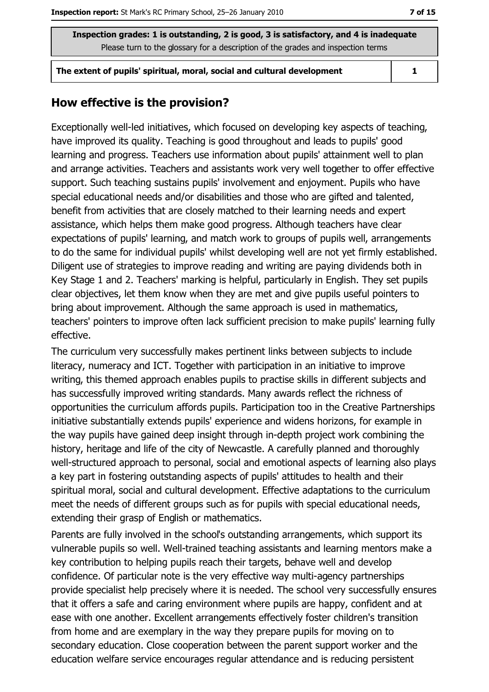The extent of pupils' spiritual, moral, social and cultural development

 $\mathbf{1}$ 

### How effective is the provision?

Exceptionally well-led initiatives, which focused on developing key aspects of teaching, have improved its quality. Teaching is good throughout and leads to pupils' good learning and progress. Teachers use information about pupils' attainment well to plan and arrange activities. Teachers and assistants work very well together to offer effective support. Such teaching sustains pupils' involvement and enjoyment. Pupils who have special educational needs and/or disabilities and those who are gifted and talented, benefit from activities that are closely matched to their learning needs and expert assistance, which helps them make good progress. Although teachers have clear expectations of pupils' learning, and match work to groups of pupils well, arrangements to do the same for individual pupils' whilst developing well are not yet firmly established. Diligent use of strategies to improve reading and writing are paying dividends both in Key Stage 1 and 2. Teachers' marking is helpful, particularly in English. They set pupils clear objectives, let them know when they are met and give pupils useful pointers to bring about improvement. Although the same approach is used in mathematics, teachers' pointers to improve often lack sufficient precision to make pupils' learning fully effective.

The curriculum very successfully makes pertinent links between subjects to include literacy, numeracy and ICT. Together with participation in an initiative to improve writing, this themed approach enables pupils to practise skills in different subjects and has successfully improved writing standards. Many awards reflect the richness of opportunities the curriculum affords pupils. Participation too in the Creative Partnerships initiative substantially extends pupils' experience and widens horizons, for example in the way pupils have gained deep insight through in-depth project work combining the history, heritage and life of the city of Newcastle. A carefully planned and thoroughly well-structured approach to personal, social and emotional aspects of learning also plays a key part in fostering outstanding aspects of pupils' attitudes to health and their spiritual moral, social and cultural development. Effective adaptations to the curriculum meet the needs of different groups such as for pupils with special educational needs, extending their grasp of English or mathematics.

Parents are fully involved in the school's outstanding arrangements, which support its vulnerable pupils so well. Well-trained teaching assistants and learning mentors make a key contribution to helping pupils reach their targets, behave well and develop confidence. Of particular note is the very effective way multi-agency partnerships provide specialist help precisely where it is needed. The school very successfully ensures that it offers a safe and caring environment where pupils are happy, confident and at ease with one another. Excellent arrangements effectively foster children's transition from home and are exemplary in the way they prepare pupils for moving on to secondary education. Close cooperation between the parent support worker and the education welfare service encourages regular attendance and is reducing persistent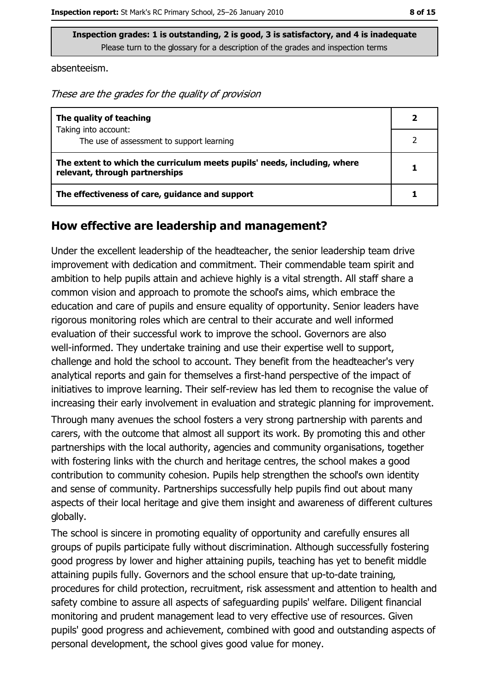absenteeism.

These are the grades for the quality of provision

| The quality of teaching                                                                                    |  |
|------------------------------------------------------------------------------------------------------------|--|
| Taking into account:<br>The use of assessment to support learning                                          |  |
|                                                                                                            |  |
| The extent to which the curriculum meets pupils' needs, including, where<br>relevant, through partnerships |  |
| The effectiveness of care, guidance and support                                                            |  |

#### How effective are leadership and management?

Under the excellent leadership of the headteacher, the senior leadership team drive improvement with dedication and commitment. Their commendable team spirit and ambition to help pupils attain and achieve highly is a vital strength. All staff share a common vision and approach to promote the school's aims, which embrace the education and care of pupils and ensure equality of opportunity. Senior leaders have rigorous monitoring roles which are central to their accurate and well informed evaluation of their successful work to improve the school. Governors are also well-informed. They undertake training and use their expertise well to support, challenge and hold the school to account. They benefit from the headteacher's very analytical reports and gain for themselves a first-hand perspective of the impact of initiatives to improve learning. Their self-review has led them to recognise the value of increasing their early involvement in evaluation and strategic planning for improvement.

Through many avenues the school fosters a very strong partnership with parents and carers, with the outcome that almost all support its work. By promoting this and other partnerships with the local authority, agencies and community organisations, together with fostering links with the church and heritage centres, the school makes a good contribution to community cohesion. Pupils help strengthen the school's own identity and sense of community. Partnerships successfully help pupils find out about many aspects of their local heritage and give them insight and awareness of different cultures globally.

The school is sincere in promoting equality of opportunity and carefully ensures all groups of pupils participate fully without discrimination. Although successfully fostering good progress by lower and higher attaining pupils, teaching has yet to benefit middle attaining pupils fully. Governors and the school ensure that up-to-date training, procedures for child protection, recruitment, risk assessment and attention to health and safety combine to assure all aspects of safeguarding pupils' welfare. Diligent financial monitoring and prudent management lead to very effective use of resources. Given pupils' good progress and achievement, combined with good and outstanding aspects of personal development, the school gives good value for money.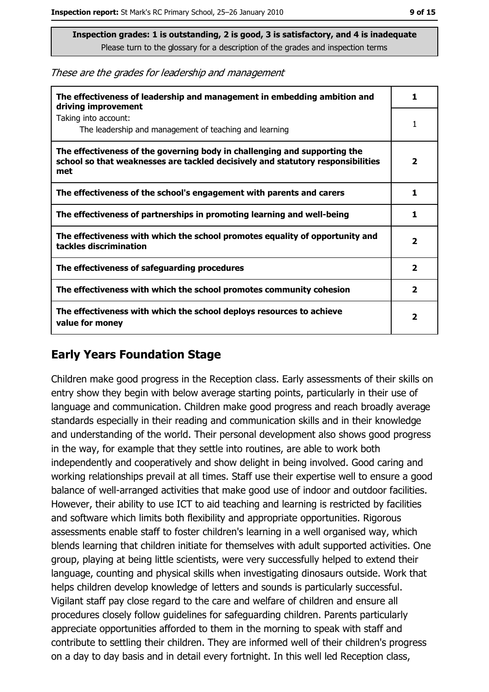These are the grades for leadership and management

| The effectiveness of leadership and management in embedding ambition and<br>driving improvement                                                                     | 1                       |
|---------------------------------------------------------------------------------------------------------------------------------------------------------------------|-------------------------|
| Taking into account:<br>The leadership and management of teaching and learning                                                                                      |                         |
| The effectiveness of the governing body in challenging and supporting the<br>school so that weaknesses are tackled decisively and statutory responsibilities<br>met | 2                       |
| The effectiveness of the school's engagement with parents and carers                                                                                                | 1                       |
| The effectiveness of partnerships in promoting learning and well-being                                                                                              | 1                       |
| The effectiveness with which the school promotes equality of opportunity and<br>tackles discrimination                                                              | $\overline{\mathbf{2}}$ |
| The effectiveness of safeguarding procedures                                                                                                                        | $\mathbf{2}$            |
| The effectiveness with which the school promotes community cohesion                                                                                                 | 2                       |
| The effectiveness with which the school deploys resources to achieve<br>value for money                                                                             | $\mathbf{2}$            |

# **Early Years Foundation Stage**

Children make good progress in the Reception class. Early assessments of their skills on entry show they begin with below average starting points, particularly in their use of language and communication. Children make good progress and reach broadly average standards especially in their reading and communication skills and in their knowledge and understanding of the world. Their personal development also shows good progress in the way, for example that they settle into routines, are able to work both independently and cooperatively and show delight in being involved. Good caring and working relationships prevail at all times. Staff use their expertise well to ensure a good balance of well-arranged activities that make good use of indoor and outdoor facilities. However, their ability to use ICT to aid teaching and learning is restricted by facilities and software which limits both flexibility and appropriate opportunities. Rigorous assessments enable staff to foster children's learning in a well organised way, which blends learning that children initiate for themselves with adult supported activities. One group, playing at being little scientists, were very successfully helped to extend their language, counting and physical skills when investigating dinosaurs outside. Work that helps children develop knowledge of letters and sounds is particularly successful. Vigilant staff pay close regard to the care and welfare of children and ensure all procedures closely follow guidelines for safeguarding children. Parents particularly appreciate opportunities afforded to them in the morning to speak with staff and contribute to settling their children. They are informed well of their children's progress on a day to day basis and in detail every fortnight. In this well led Reception class,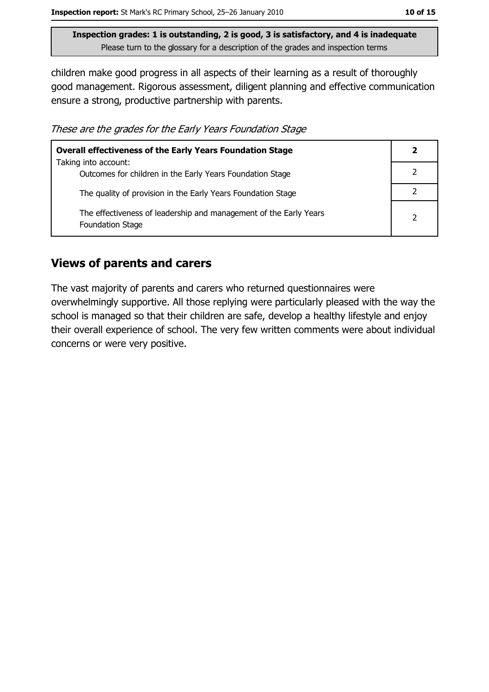children make good progress in all aspects of their learning as a result of thoroughly good management. Rigorous assessment, diligent planning and effective communication ensure a strong, productive partnership with parents.

These are the grades for the Early Years Foundation Stage

| <b>Overall effectiveness of the Early Years Foundation Stage</b>                             |   |  |
|----------------------------------------------------------------------------------------------|---|--|
| Taking into account:<br>Outcomes for children in the Early Years Foundation Stage            |   |  |
| The quality of provision in the Early Years Foundation Stage                                 |   |  |
| The effectiveness of leadership and management of the Early Years<br><b>Foundation Stage</b> | 2 |  |

# **Views of parents and carers**

The vast majority of parents and carers who returned questionnaires were overwhelmingly supportive. All those replying were particularly pleased with the way the school is managed so that their children are safe, develop a healthy lifestyle and enjoy their overall experience of school. The very few written comments were about individual concerns or were very positive.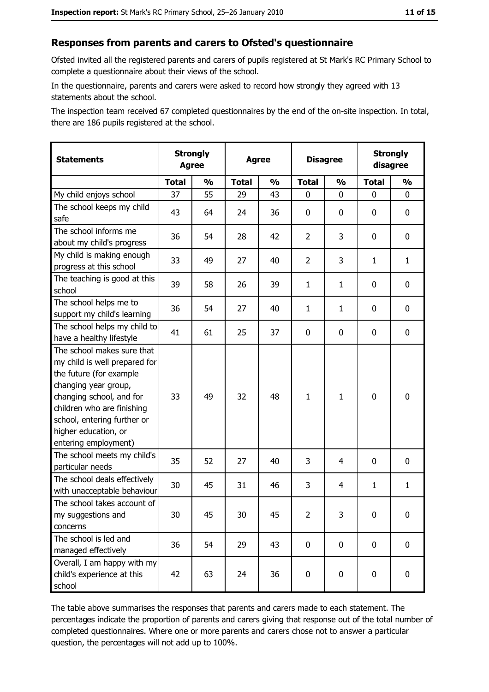# Responses from parents and carers to Ofsted's questionnaire

Ofsted invited all the registered parents and carers of pupils registered at St Mark's RC Primary School to complete a questionnaire about their views of the school.

In the questionnaire, parents and carers were asked to record how strongly they agreed with 13 statements about the school.

The inspection team received 67 completed questionnaires by the end of the on-site inspection. In total, there are 186 pupils registered at the school.

| <b>Statements</b>                                                                                                                                                                                                                                       | <b>Strongly</b><br><b>Agree</b> |               | <b>Agree</b> |               | <b>Disagree</b> |               |              | <b>Strongly</b><br>disagree |
|---------------------------------------------------------------------------------------------------------------------------------------------------------------------------------------------------------------------------------------------------------|---------------------------------|---------------|--------------|---------------|-----------------|---------------|--------------|-----------------------------|
|                                                                                                                                                                                                                                                         | <b>Total</b>                    | $\frac{1}{2}$ | <b>Total</b> | $\frac{0}{0}$ | <b>Total</b>    | $\frac{0}{0}$ | <b>Total</b> | $\frac{1}{2}$               |
| My child enjoys school                                                                                                                                                                                                                                  | 37                              | 55            | 29           | 43            | $\mathbf 0$     | 0             | 0            | 0                           |
| The school keeps my child<br>safe                                                                                                                                                                                                                       | 43                              | 64            | 24           | 36            | $\mathbf 0$     | 0             | 0            | 0                           |
| The school informs me<br>about my child's progress                                                                                                                                                                                                      | 36                              | 54            | 28           | 42            | $\overline{2}$  | 3             | 0            | 0                           |
| My child is making enough<br>progress at this school                                                                                                                                                                                                    | 33                              | 49            | 27           | 40            | $\overline{2}$  | 3             | 1            | $\mathbf{1}$                |
| The teaching is good at this<br>school                                                                                                                                                                                                                  | 39                              | 58            | 26           | 39            | $\mathbf{1}$    | $\mathbf{1}$  | 0            | 0                           |
| The school helps me to<br>support my child's learning                                                                                                                                                                                                   | 36                              | 54            | 27           | 40            | $\mathbf{1}$    | $\mathbf{1}$  | 0            | 0                           |
| The school helps my child to<br>have a healthy lifestyle                                                                                                                                                                                                | 41                              | 61            | 25           | 37            | $\mathbf 0$     | 0             | 0            | 0                           |
| The school makes sure that<br>my child is well prepared for<br>the future (for example<br>changing year group,<br>changing school, and for<br>children who are finishing<br>school, entering further or<br>higher education, or<br>entering employment) | 33                              | 49            | 32           | 48            | $\mathbf{1}$    | $\mathbf{1}$  | $\mathbf 0$  | 0                           |
| The school meets my child's<br>particular needs                                                                                                                                                                                                         | 35                              | 52            | 27           | 40            | 3               | 4             | 0            | 0                           |
| The school deals effectively<br>with unacceptable behaviour                                                                                                                                                                                             | 30                              | 45            | 31           | 46            | 3               | 4             | $\mathbf{1}$ | $\mathbf{1}$                |
| The school takes account of<br>my suggestions and<br>concerns                                                                                                                                                                                           | 30                              | 45            | 30           | 45            | $\overline{2}$  | 3             | 0            | 0                           |
| The school is led and<br>managed effectively                                                                                                                                                                                                            | 36                              | 54            | 29           | 43            | $\mathbf 0$     | 0             | 0            | $\mathbf 0$                 |
| Overall, I am happy with my<br>child's experience at this<br>school                                                                                                                                                                                     | 42                              | 63            | 24           | 36            | $\pmb{0}$       | 0             | $\mathbf 0$  | 0                           |

The table above summarises the responses that parents and carers made to each statement. The percentages indicate the proportion of parents and carers giving that response out of the total number of completed questionnaires. Where one or more parents and carers chose not to answer a particular question, the percentages will not add up to 100%.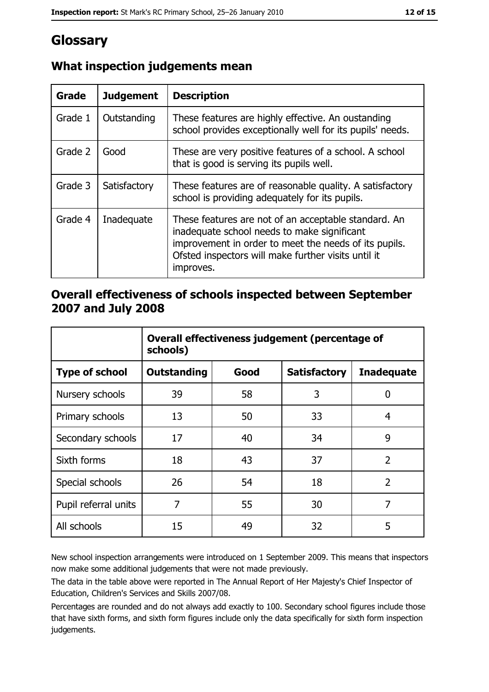# Glossary

| Grade   | <b>Judgement</b> | <b>Description</b>                                                                                                                                                                                                               |
|---------|------------------|----------------------------------------------------------------------------------------------------------------------------------------------------------------------------------------------------------------------------------|
| Grade 1 | Outstanding      | These features are highly effective. An oustanding<br>school provides exceptionally well for its pupils' needs.                                                                                                                  |
| Grade 2 | Good             | These are very positive features of a school. A school<br>that is good is serving its pupils well.                                                                                                                               |
| Grade 3 | Satisfactory     | These features are of reasonable quality. A satisfactory<br>school is providing adequately for its pupils.                                                                                                                       |
| Grade 4 | Inadequate       | These features are not of an acceptable standard. An<br>inadequate school needs to make significant<br>improvement in order to meet the needs of its pupils.<br>Ofsted inspectors will make further visits until it<br>improves. |

# What inspection judgements mean

# Overall effectiveness of schools inspected between September 2007 and July 2008

|                       | Overall effectiveness judgement (percentage of<br>schools) |      |                     |                   |  |
|-----------------------|------------------------------------------------------------|------|---------------------|-------------------|--|
| <b>Type of school</b> | <b>Outstanding</b>                                         | Good | <b>Satisfactory</b> | <b>Inadequate</b> |  |
| Nursery schools       | 39                                                         | 58   | 3                   | 0                 |  |
| Primary schools       | 13                                                         | 50   | 33                  | 4                 |  |
| Secondary schools     | 17                                                         | 40   | 34                  | 9                 |  |
| Sixth forms           | 18                                                         | 43   | 37                  | $\overline{2}$    |  |
| Special schools       | 26                                                         | 54   | 18                  | $\overline{2}$    |  |
| Pupil referral units  | 7                                                          | 55   | 30                  | 7                 |  |
| All schools           | 15                                                         | 49   | 32                  | 5                 |  |

New school inspection arrangements were introduced on 1 September 2009. This means that inspectors now make some additional judgements that were not made previously.

The data in the table above were reported in The Annual Report of Her Majesty's Chief Inspector of Education, Children's Services and Skills 2007/08.

Percentages are rounded and do not always add exactly to 100. Secondary school figures include those that have sixth forms, and sixth form figures include only the data specifically for sixth form inspection judgements.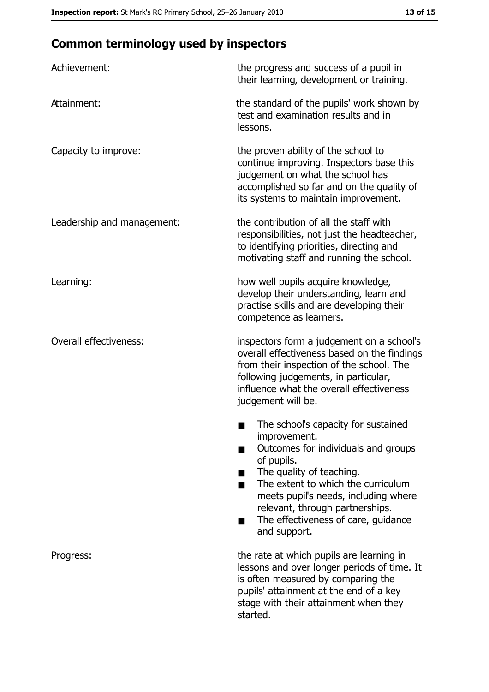# **Common terminology used by inspectors**

| Achievement:                  | the progress and success of a pupil in<br>their learning, development or training.                                                                                                                                                                                                                           |
|-------------------------------|--------------------------------------------------------------------------------------------------------------------------------------------------------------------------------------------------------------------------------------------------------------------------------------------------------------|
| Attainment:                   | the standard of the pupils' work shown by<br>test and examination results and in<br>lessons.                                                                                                                                                                                                                 |
| Capacity to improve:          | the proven ability of the school to<br>continue improving. Inspectors base this<br>judgement on what the school has<br>accomplished so far and on the quality of<br>its systems to maintain improvement.                                                                                                     |
| Leadership and management:    | the contribution of all the staff with<br>responsibilities, not just the headteacher,<br>to identifying priorities, directing and<br>motivating staff and running the school.                                                                                                                                |
| Learning:                     | how well pupils acquire knowledge,<br>develop their understanding, learn and<br>practise skills and are developing their<br>competence as learners.                                                                                                                                                          |
| <b>Overall effectiveness:</b> | inspectors form a judgement on a school's<br>overall effectiveness based on the findings<br>from their inspection of the school. The<br>following judgements, in particular,<br>influence what the overall effectiveness<br>judgement will be.                                                               |
|                               | The school's capacity for sustained<br>improvement.<br>Outcomes for individuals and groups<br>of pupils.<br>The quality of teaching.<br>The extent to which the curriculum<br>meets pupil's needs, including where<br>relevant, through partnerships.<br>The effectiveness of care, guidance<br>and support. |
| Progress:                     | the rate at which pupils are learning in<br>lessons and over longer periods of time. It<br>is often measured by comparing the<br>pupils' attainment at the end of a key<br>stage with their attainment when they<br>started.                                                                                 |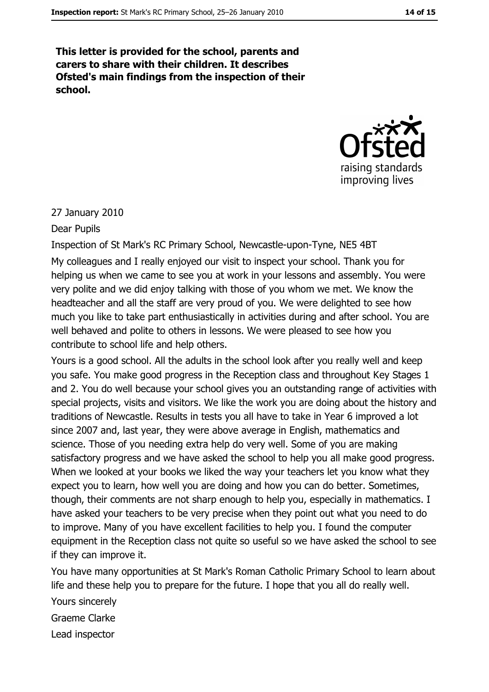This letter is provided for the school, parents and carers to share with their children. It describes Ofsted's main findings from the inspection of their school.



#### 27 January 2010

#### Dear Pupils

Inspection of St Mark's RC Primary School, Newcastle-upon-Tyne, NE5 4BT My colleagues and I really enjoyed our visit to inspect your school. Thank you for helping us when we came to see you at work in your lessons and assembly. You were very polite and we did enjoy talking with those of you whom we met. We know the headteacher and all the staff are very proud of you. We were delighted to see how much you like to take part enthusiastically in activities during and after school. You are well behaved and polite to others in lessons. We were pleased to see how you contribute to school life and help others.

Yours is a good school. All the adults in the school look after you really well and keep you safe. You make good progress in the Reception class and throughout Key Stages 1 and 2. You do well because your school gives you an outstanding range of activities with special projects, visits and visitors. We like the work you are doing about the history and traditions of Newcastle. Results in tests you all have to take in Year 6 improved a lot since 2007 and, last year, they were above average in English, mathematics and science. Those of you needing extra help do very well. Some of you are making satisfactory progress and we have asked the school to help you all make good progress. When we looked at your books we liked the way your teachers let you know what they expect you to learn, how well you are doing and how you can do better. Sometimes, though, their comments are not sharp enough to help you, especially in mathematics. I have asked your teachers to be very precise when they point out what you need to do to improve. Many of you have excellent facilities to help you. I found the computer equipment in the Reception class not quite so useful so we have asked the school to see if they can improve it.

You have many opportunities at St Mark's Roman Catholic Primary School to learn about life and these help you to prepare for the future. I hope that you all do really well.

Yours sincerely

Graeme Clarke

Lead inspector